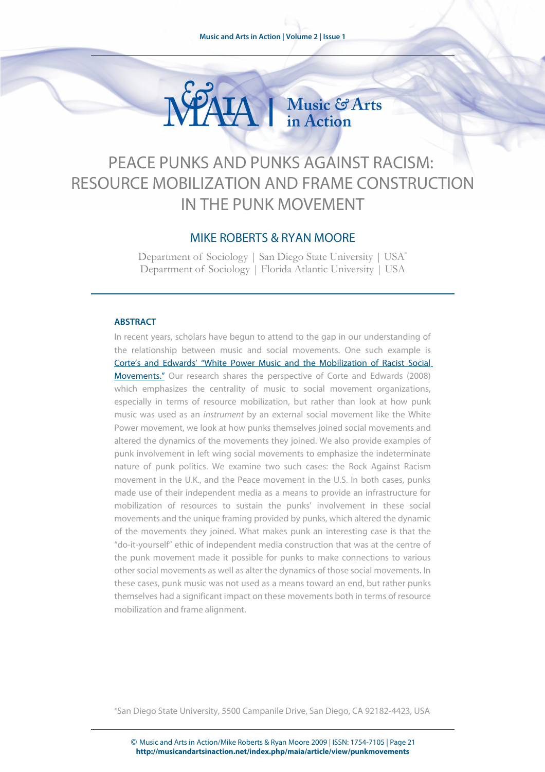

# PEACE PUNKS AND PUNKS AGAINST RACISM: RESOURCE MOBILIZATION AND FRAME CONSTRUCTION IN THE PUNK MOVEMENT

# MIKE ROBERTS & RYAN MOORE

Department of Sociology | San Diego State University | USA[\\*](#page-0-0) Department of Sociology | Florida Atlantic University | USA

#### **ABSTRACT**

In recent years, scholars have begun to attend to the gap in our understanding of the relationship between music and social movements. One such example is [Corte's and Edwards' "White Power Music and the Mobilization of Racist Social](http://musicandartsinaction.net/index.php/maia/article/view/whitepowermusic/9) [Movements."](http://musicandartsinaction.net/index.php/maia/article/view/whitepowermusic/9) Our research shares the perspective of Corte and Edwards (2008) which emphasizes the centrality of music to social movement organizations, especially in terms of resource mobilization, but rather than look at how punk music was used as an instrument by an external social movement like the White Power movement, we look at how punks themselves joined social movements and altered the dynamics of the movements they joined. We also provide examples of punk involvement in left wing social movements to emphasize the indeterminate nature of punk politics. We examine two such cases: the Rock Against Racism movement in the U.K., and the Peace movement in the U.S. In both cases, punks made use of their independent media as a means to provide an infrastructure for mobilization of resources to sustain the punks' involvement in these social movements and the unique framing provided by punks, which altered the dynamic of the movements they joined. What makes punk an interesting case is that the "do-it-yourself" ethic of independent media construction that was at the centre of the punk movement made it possible for punks to make connections to various other social movements as well as alter the dynamics of those social movements. In these cases, punk music was not used as a means toward an end, but rather punks themselves had a significant impact on these movements both in terms of resource mobilization and frame alignment.

<span id="page-0-0"></span>\*San Diego State University, 5500 Campanile Drive, San Diego, CA 92182-4423, USA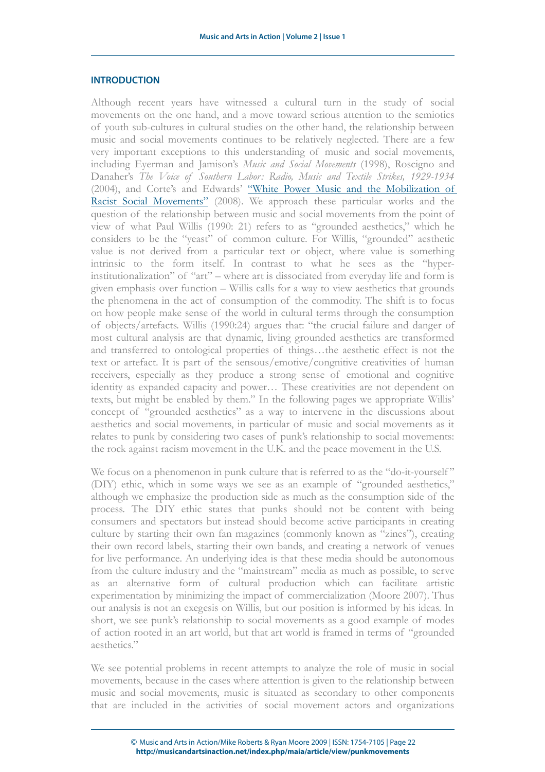#### **INTRODUCTION**

Although recent years have witnessed a cultural turn in the study of social movements on the one hand, and a move toward serious attention to the semiotics of youth sub-cultures in cultural studies on the other hand, the relationship between music and social movements continues to be relatively neglected. There are a few very important exceptions to this understanding of music and social movements, including Eyerman and Jamison's *Music and Social Movements* (1998), Roscigno and Danaher's *The Voice of Southern Labor: Radio, Music and Textile Strikes, 1929-1934* (2004), and Corte's and Edwards' ["White Power Music and the Mobilization of](http://musicandartsinaction.net/index.php/maia/article/view/whitepowermusic/9) [Racist Social Movements"](http://musicandartsinaction.net/index.php/maia/article/view/whitepowermusic/9) (2008). We approach these particular works and the question of the relationship between music and social movements from the point of view of what Paul Willis (1990: 21) refers to as "grounded aesthetics," which he considers to be the "yeast" of common culture. For Willis, "grounded" aesthetic value is not derived from a particular text or object, where value is something intrinsic to the form itself. In contrast to what he sees as the "hyperinstitutionalization" of "art" – where art is dissociated from everyday life and form is given emphasis over function – Willis calls for a way to view aesthetics that grounds the phenomena in the act of consumption of the commodity. The shift is to focus on how people make sense of the world in cultural terms through the consumption of objects/artefacts. Willis (1990:24) argues that: "the crucial failure and danger of most cultural analysis are that dynamic, living grounded aesthetics are transformed and transferred to ontological properties of things…the aesthetic effect is not the text or artefact. It is part of the sensous/emotive/congnitive creativities of human receivers, especially as they produce a strong sense of emotional and cognitive identity as expanded capacity and power… These creativities are not dependent on texts, but might be enabled by them." In the following pages we appropriate Willis' concept of "grounded aesthetics" as a way to intervene in the discussions about aesthetics and social movements, in particular of music and social movements as it relates to punk by considering two cases of punk's relationship to social movements: the rock against racism movement in the U.K. and the peace movement in the U.S.

We focus on a phenomenon in punk culture that is referred to as the "do-it-yourself" (DIY) ethic, which in some ways we see as an example of "grounded aesthetics," although we emphasize the production side as much as the consumption side of the process. The DIY ethic states that punks should not be content with being consumers and spectators but instead should become active participants in creating culture by starting their own fan magazines (commonly known as "zines"), creating their own record labels, starting their own bands, and creating a network of venues for live performance. An underlying idea is that these media should be autonomous from the culture industry and the "mainstream" media as much as possible, to serve as an alternative form of cultural production which can facilitate artistic experimentation by minimizing the impact of commercialization (Moore 2007). Thus our analysis is not an exegesis on Willis, but our position is informed by his ideas. In short, we see punk's relationship to social movements as a good example of modes of action rooted in an art world, but that art world is framed in terms of "grounded aesthetics."

We see potential problems in recent attempts to analyze the role of music in social movements, because in the cases where attention is given to the relationship between music and social movements, music is situated as secondary to other components that are included in the activities of social movement actors and organizations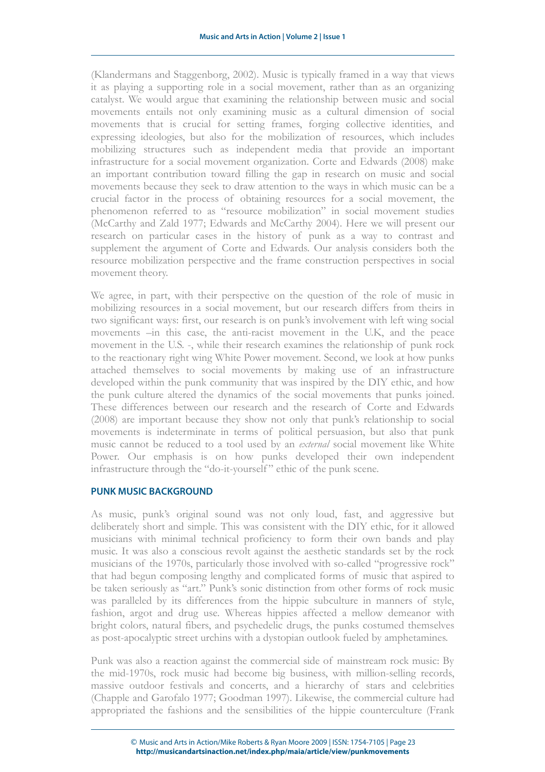(Klandermans and Staggenborg, 2002). Music is typically framed in a way that views it as playing a supporting role in a social movement, rather than as an organizing catalyst. We would argue that examining the relationship between music and social movements entails not only examining music as a cultural dimension of social movements that is crucial for setting frames, forging collective identities, and expressing ideologies, but also for the mobilization of resources, which includes mobilizing structures such as independent media that provide an important infrastructure for a social movement organization. Corte and Edwards (2008) make an important contribution toward filling the gap in research on music and social movements because they seek to draw attention to the ways in which music can be a crucial factor in the process of obtaining resources for a social movement, the phenomenon referred to as "resource mobilization" in social movement studies (McCarthy and Zald 1977; Edwards and McCarthy 2004). Here we will present our research on particular cases in the history of punk as a way to contrast and supplement the argument of Corte and Edwards. Our analysis considers both the resource mobilization perspective and the frame construction perspectives in social movement theory.

We agree, in part, with their perspective on the question of the role of music in mobilizing resources in a social movement, but our research differs from theirs in two significant ways: first, our research is on punk's involvement with left wing social movements –in this case, the anti-racist movement in the U.K, and the peace movement in the U.S. -, while their research examines the relationship of punk rock to the reactionary right wing White Power movement. Second, we look at how punks attached themselves to social movements by making use of an infrastructure developed within the punk community that was inspired by the DIY ethic, and how the punk culture altered the dynamics of the social movements that punks joined. These differences between our research and the research of Corte and Edwards (2008) are important because they show not only that punk's relationship to social movements is indeterminate in terms of political persuasion, but also that punk music cannot be reduced to a tool used by an *external* social movement like White Power. Our emphasis is on how punks developed their own independent infrastructure through the "do-it-yourself " ethic of the punk scene.

## **PUNK MUSIC BACKGROUND**

As music, punk's original sound was not only loud, fast, and aggressive but deliberately short and simple. This was consistent with the DIY ethic, for it allowed musicians with minimal technical proficiency to form their own bands and play music. It was also a conscious revolt against the aesthetic standards set by the rock musicians of the 1970s, particularly those involved with so-called "progressive rock" that had begun composing lengthy and complicated forms of music that aspired to be taken seriously as "art." Punk's sonic distinction from other forms of rock music was paralleled by its differences from the hippie subculture in manners of style, fashion, argot and drug use. Whereas hippies affected a mellow demeanor with bright colors, natural fibers, and psychedelic drugs, the punks costumed themselves as post-apocalyptic street urchins with a dystopian outlook fueled by amphetamines.

Punk was also a reaction against the commercial side of mainstream rock music: By the mid-1970s, rock music had become big business, with million-selling records, massive outdoor festivals and concerts, and a hierarchy of stars and celebrities (Chapple and Garofalo 1977; Goodman 1997). Likewise, the commercial culture had appropriated the fashions and the sensibilities of the hippie counterculture (Frank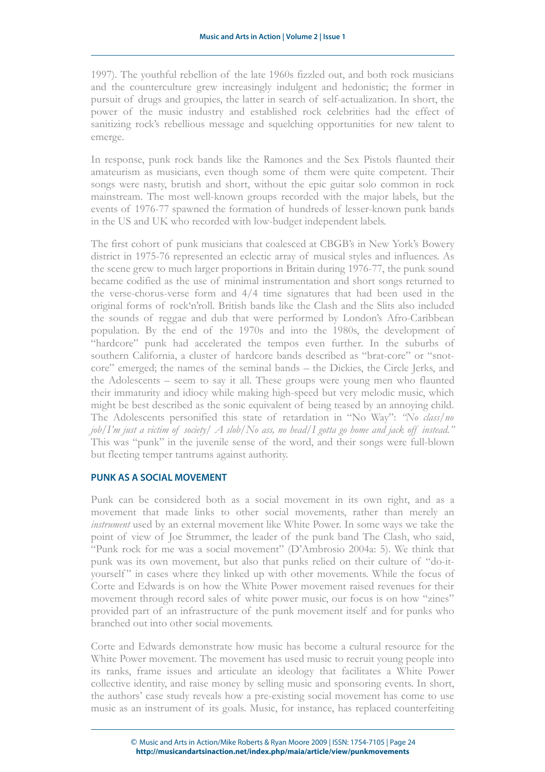1997). The youthful rebellion of the late 1960s fizzled out, and both rock musicians and the counterculture grew increasingly indulgent and hedonistic; the former in pursuit of drugs and groupies, the latter in search of self-actualization. In short, the power of the music industry and established rock celebrities had the effect of sanitizing rock's rebellious message and squelching opportunities for new talent to emerge.

In response, punk rock bands like the Ramones and the Sex Pistols flaunted their amateurism as musicians, even though some of them were quite competent. Their songs were nasty, brutish and short, without the epic guitar solo common in rock mainstream. The most well-known groups recorded with the major labels, but the events of 1976-77 spawned the formation of hundreds of lesser-known punk bands in the US and UK who recorded with low-budget independent labels.

The first cohort of punk musicians that coalesced at CBGB's in New York's Bowery district in 1975-76 represented an eclectic array of musical styles and influences. As the scene grew to much larger proportions in Britain during 1976-77, the punk sound became codified as the use of minimal instrumentation and short songs returned to the verse-chorus-verse form and 4/4 time signatures that had been used in the original forms of rock'n'roll. British bands like the Clash and the Slits also included the sounds of reggae and dub that were performed by London's Afro-Caribbean population. By the end of the 1970s and into the 1980s, the development of "hardcore" punk had accelerated the tempos even further. In the suburbs of southern California, a cluster of hardcore bands described as "brat-core" or "snotcore" emerged; the names of the seminal bands – the Dickies, the Circle Jerks, and the Adolescents – seem to say it all. These groups were young men who flaunted their immaturity and idiocy while making high-speed but very melodic music, which might be best described as the sonic equivalent of being teased by an annoying child. The Adolescents personified this state of retardation in "No Way": *"No class/no job/I'm just a victim of society/ A slob/No ass, no head/I gotta go home and jack off instead."* This was "punk" in the juvenile sense of the word, and their songs were full-blown but fleeting temper tantrums against authority.

## **PUNK AS A SOCIAL MOVEMENT**

Punk can be considered both as a social movement in its own right, and as a movement that made links to other social movements, rather than merely an *instrument* used by an external movement like White Power. In some ways we take the point of view of Joe Strummer, the leader of the punk band The Clash, who said, "Punk rock for me was a social movement" (D'Ambrosio 2004a: 5). We think that punk was its own movement, but also that punks relied on their culture of "do-ityourself" in cases where they linked up with other movements. While the focus of Corte and Edwards is on how the White Power movement raised revenues for their movement through record sales of white power music, our focus is on how "zines" provided part of an infrastructure of the punk movement itself and for punks who branched out into other social movements.

Corte and Edwards demonstrate how music has become a cultural resource for the White Power movement. The movement has used music to recruit young people into its ranks, frame issues and articulate an ideology that facilitates a White Power collective identity, and raise money by selling music and sponsoring events. In short, the authors' case study reveals how a pre-existing social movement has come to use music as an instrument of its goals. Music, for instance, has replaced counterfeiting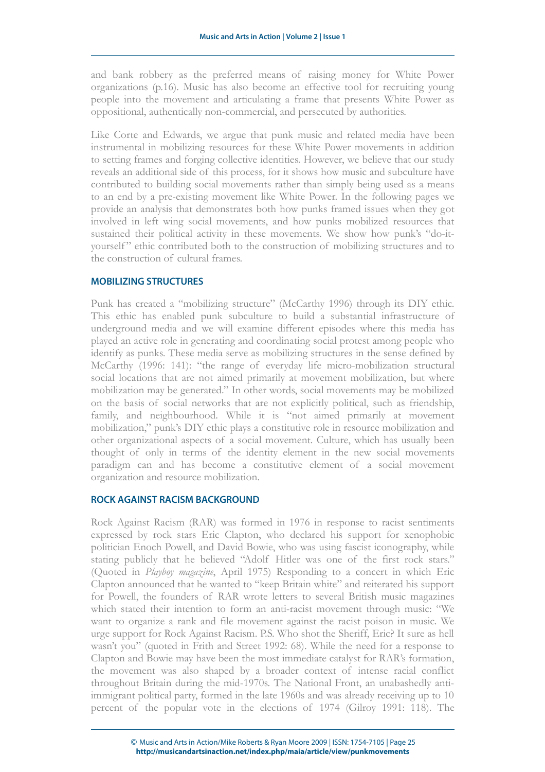and bank robbery as the preferred means of raising money for White Power organizations (p.16). Music has also become an effective tool for recruiting young people into the movement and articulating a frame that presents White Power as oppositional, authentically non-commercial, and persecuted by authorities.

Like Corte and Edwards, we argue that punk music and related media have been instrumental in mobilizing resources for these White Power movements in addition to setting frames and forging collective identities. However, we believe that our study reveals an additional side of this process, for it shows how music and subculture have contributed to building social movements rather than simply being used as a means to an end by a pre-existing movement like White Power. In the following pages we provide an analysis that demonstrates both how punks framed issues when they got involved in left wing social movements, and how punks mobilized resources that sustained their political activity in these movements. We show how punk's "do-ityourself " ethic contributed both to the construction of mobilizing structures and to the construction of cultural frames.

## **MOBILIZING STRUCTURES**

Punk has created a "mobilizing structure" (McCarthy 1996) through its DIY ethic. This ethic has enabled punk subculture to build a substantial infrastructure of underground media and we will examine different episodes where this media has played an active role in generating and coordinating social protest among people who identify as punks. These media serve as mobilizing structures in the sense defined by McCarthy (1996: 141): "the range of everyday life micro-mobilization structural social locations that are not aimed primarily at movement mobilization, but where mobilization may be generated." In other words, social movements may be mobilized on the basis of social networks that are not explicitly political, such as friendship, family, and neighbourhood. While it is "not aimed primarily at movement mobilization," punk's DIY ethic plays a constitutive role in resource mobilization and other organizational aspects of a social movement. Culture, which has usually been thought of only in terms of the identity element in the new social movements paradigm can and has become a constitutive element of a social movement organization and resource mobilization.

## **ROCK AGAINST RACISM BACKGROUND**

Rock Against Racism (RAR) was formed in 1976 in response to racist sentiments expressed by rock stars Eric Clapton, who declared his support for xenophobic politician Enoch Powell, and David Bowie, who was using fascist iconography, while stating publicly that he believed "Adolf Hitler was one of the first rock stars." (Quoted in *Playboy magazine*, April 1975) Responding to a concert in which Eric Clapton announced that he wanted to "keep Britain white" and reiterated his support for Powell, the founders of RAR wrote letters to several British music magazines which stated their intention to form an anti-racist movement through music: "We want to organize a rank and file movement against the racist poison in music. We urge support for Rock Against Racism. P.S. Who shot the Sheriff, Eric? It sure as hell wasn't you" (quoted in Frith and Street 1992: 68). While the need for a response to Clapton and Bowie may have been the most immediate catalyst for RAR's formation, the movement was also shaped by a broader context of intense racial conflict throughout Britain during the mid-1970s. The National Front, an unabashedly antiimmigrant political party, formed in the late 1960s and was already receiving up to 10 percent of the popular vote in the elections of 1974 (Gilroy 1991: 118). The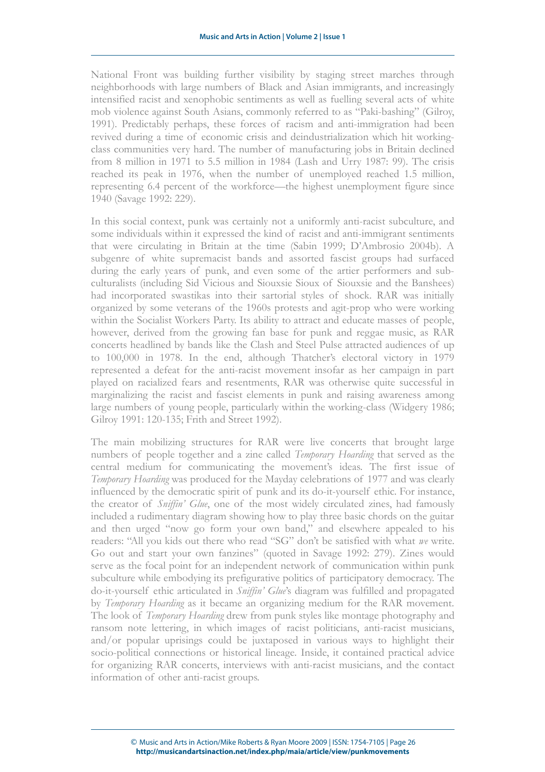National Front was building further visibility by staging street marches through neighborhoods with large numbers of Black and Asian immigrants, and increasingly intensified racist and xenophobic sentiments as well as fuelling several acts of white mob violence against South Asians, commonly referred to as "Paki-bashing" (Gilroy, 1991). Predictably perhaps, these forces of racism and anti-immigration had been revived during a time of economic crisis and deindustrialization which hit workingclass communities very hard. The number of manufacturing jobs in Britain declined from 8 million in 1971 to 5.5 million in 1984 (Lash and Urry 1987: 99). The crisis reached its peak in 1976, when the number of unemployed reached 1.5 million, representing 6.4 percent of the workforce—the highest unemployment figure since 1940 (Savage 1992: 229).

In this social context, punk was certainly not a uniformly anti-racist subculture, and some individuals within it expressed the kind of racist and anti-immigrant sentiments that were circulating in Britain at the time (Sabin 1999; D'Ambrosio 2004b). A subgenre of white supremacist bands and assorted fascist groups had surfaced during the early years of punk, and even some of the artier performers and subculturalists (including Sid Vicious and Siouxsie Sioux of Siouxsie and the Banshees) had incorporated swastikas into their sartorial styles of shock. RAR was initially organized by some veterans of the 1960s protests and agit-prop who were working within the Socialist Workers Party. Its ability to attract and educate masses of people, however, derived from the growing fan base for punk and reggae music, as RAR concerts headlined by bands like the Clash and Steel Pulse attracted audiences of up to 100,000 in 1978. In the end, although Thatcher's electoral victory in 1979 represented a defeat for the anti-racist movement insofar as her campaign in part played on racialized fears and resentments, RAR was otherwise quite successful in marginalizing the racist and fascist elements in punk and raising awareness among large numbers of young people, particularly within the working-class (Widgery 1986; Gilroy 1991: 120-135; Frith and Street 1992).

The main mobilizing structures for RAR were live concerts that brought large numbers of people together and a zine called *Temporary Hoarding* that served as the central medium for communicating the movement's ideas. The first issue of *Temporary Hoarding* was produced for the Mayday celebrations of 1977 and was clearly influenced by the democratic spirit of punk and its do-it-yourself ethic. For instance, the creator of *Sniffin' Glue*, one of the most widely circulated zines, had famously included a rudimentary diagram showing how to play three basic chords on the guitar and then urged "now go form your own band," and elsewhere appealed to his readers: "All you kids out there who read "SG" don't be satisfied with what *we* write. Go out and start your own fanzines" (quoted in Savage 1992: 279). Zines would serve as the focal point for an independent network of communication within punk subculture while embodying its prefigurative politics of participatory democracy. The do-it-yourself ethic articulated in *Sniffin' Glue*'s diagram was fulfilled and propagated by *Temporary Hoarding* as it became an organizing medium for the RAR movement. The look of *Temporary Hoarding* drew from punk styles like montage photography and ransom note lettering, in which images of racist politicians, anti-racist musicians, and/or popular uprisings could be juxtaposed in various ways to highlight their socio-political connections or historical lineage. Inside, it contained practical advice for organizing RAR concerts, interviews with anti-racist musicians, and the contact information of other anti-racist groups.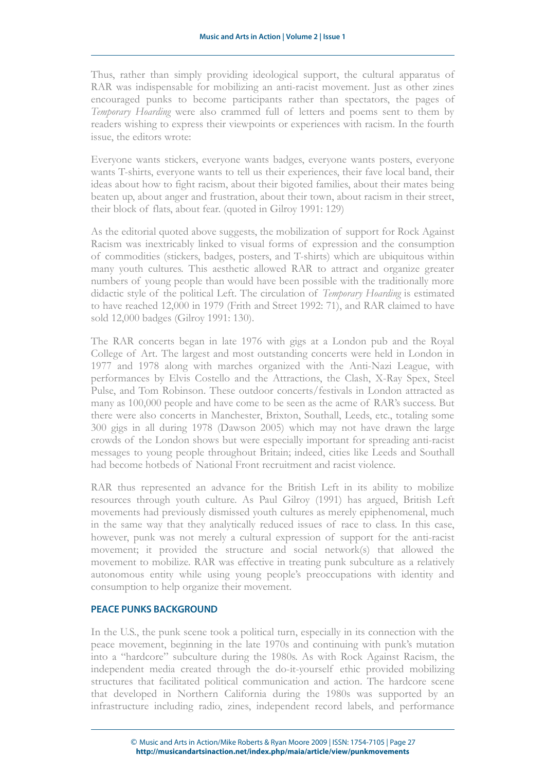Thus, rather than simply providing ideological support, the cultural apparatus of RAR was indispensable for mobilizing an anti-racist movement. Just as other zines encouraged punks to become participants rather than spectators, the pages of *Temporary Hoarding* were also crammed full of letters and poems sent to them by readers wishing to express their viewpoints or experiences with racism. In the fourth issue, the editors wrote:

Everyone wants stickers, everyone wants badges, everyone wants posters, everyone wants T-shirts, everyone wants to tell us their experiences, their fave local band, their ideas about how to fight racism, about their bigoted families, about their mates being beaten up, about anger and frustration, about their town, about racism in their street, their block of flats, about fear. (quoted in Gilroy 1991: 129)

As the editorial quoted above suggests, the mobilization of support for Rock Against Racism was inextricably linked to visual forms of expression and the consumption of commodities (stickers, badges, posters, and T-shirts) which are ubiquitous within many youth cultures. This aesthetic allowed RAR to attract and organize greater numbers of young people than would have been possible with the traditionally more didactic style of the political Left. The circulation of *Temporary Hoarding* is estimated to have reached 12,000 in 1979 (Frith and Street 1992: 71), and RAR claimed to have sold 12,000 badges (Gilroy 1991: 130).

The RAR concerts began in late 1976 with gigs at a London pub and the Royal College of Art. The largest and most outstanding concerts were held in London in 1977 and 1978 along with marches organized with the Anti-Nazi League, with performances by Elvis Costello and the Attractions, the Clash, X-Ray Spex, Steel Pulse, and Tom Robinson. These outdoor concerts/festivals in London attracted as many as 100,000 people and have come to be seen as the acme of RAR's success. But there were also concerts in Manchester, Brixton, Southall, Leeds, etc., totaling some 300 gigs in all during 1978 (Dawson 2005) which may not have drawn the large crowds of the London shows but were especially important for spreading anti-racist messages to young people throughout Britain; indeed, cities like Leeds and Southall had become hotbeds of National Front recruitment and racist violence.

RAR thus represented an advance for the British Left in its ability to mobilize resources through youth culture. As Paul Gilroy (1991) has argued, British Left movements had previously dismissed youth cultures as merely epiphenomenal, much in the same way that they analytically reduced issues of race to class. In this case, however, punk was not merely a cultural expression of support for the anti-racist movement; it provided the structure and social network(s) that allowed the movement to mobilize. RAR was effective in treating punk subculture as a relatively autonomous entity while using young people's preoccupations with identity and consumption to help organize their movement.

## **PEACE PUNKS BACKGROUND**

In the U.S., the punk scene took a political turn, especially in its connection with the peace movement, beginning in the late 1970s and continuing with punk's mutation into a "hardcore" subculture during the 1980s. As with Rock Against Racism, the independent media created through the do-it-yourself ethic provided mobilizing structures that facilitated political communication and action. The hardcore scene that developed in Northern California during the 1980s was supported by an infrastructure including radio, zines, independent record labels, and performance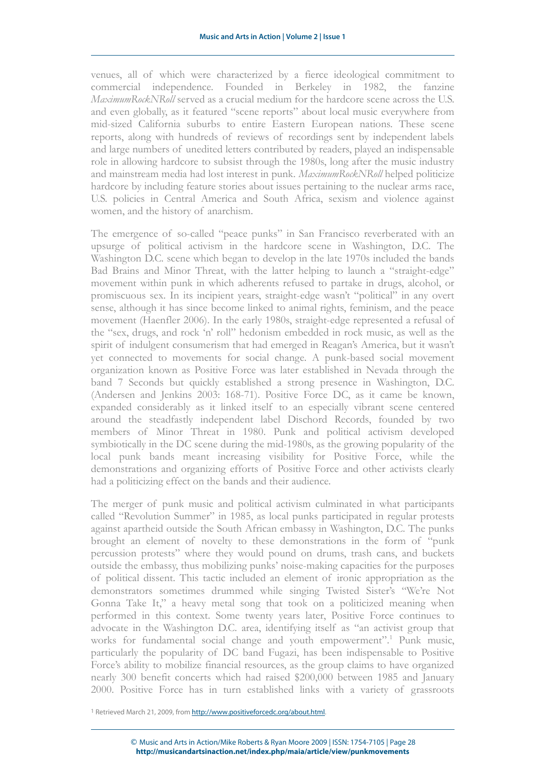venues, all of which were characterized by a fierce ideological commitment to commercial independence. Founded in Berkeley in 1982, the fanzine *MaximumRockNRoll* served as a crucial medium for the hardcore scene across the U.S. and even globally, as it featured "scene reports" about local music everywhere from mid-sized California suburbs to entire Eastern European nations. These scene reports, along with hundreds of reviews of recordings sent by independent labels and large numbers of unedited letters contributed by readers, played an indispensable role in allowing hardcore to subsist through the 1980s, long after the music industry and mainstream media had lost interest in punk. *MaximumRockNRoll* helped politicize hardcore by including feature stories about issues pertaining to the nuclear arms race, U.S. policies in Central America and South Africa, sexism and violence against women, and the history of anarchism.

The emergence of so-called "peace punks" in San Francisco reverberated with an upsurge of political activism in the hardcore scene in Washington, D.C. The Washington D.C. scene which began to develop in the late 1970s included the bands Bad Brains and Minor Threat, with the latter helping to launch a "straight-edge" movement within punk in which adherents refused to partake in drugs, alcohol, or promiscuous sex. In its incipient years, straight-edge wasn't "political" in any overt sense, although it has since become linked to animal rights, feminism, and the peace movement (Haenfler 2006). In the early 1980s, straight-edge represented a refusal of the "sex, drugs, and rock 'n' roll" hedonism embedded in rock music, as well as the spirit of indulgent consumerism that had emerged in Reagan's America, but it wasn't yet connected to movements for social change. A punk-based social movement organization known as Positive Force was later established in Nevada through the band 7 Seconds but quickly established a strong presence in Washington, D.C. (Andersen and Jenkins 2003: 168-71). Positive Force DC, as it came be known, expanded considerably as it linked itself to an especially vibrant scene centered around the steadfastly independent label Dischord Records, founded by two members of Minor Threat in 1980. Punk and political activism developed symbiotically in the DC scene during the mid-1980s, as the growing popularity of the local punk bands meant increasing visibility for Positive Force, while the demonstrations and organizing efforts of Positive Force and other activists clearly had a politicizing effect on the bands and their audience.

The merger of punk music and political activism culminated in what participants called "Revolution Summer" in 1985, as local punks participated in regular protests against apartheid outside the South African embassy in Washington, D.C. The punks brought an element of novelty to these demonstrations in the form of "punk percussion protests" where they would pound on drums, trash cans, and buckets outside the embassy, thus mobilizing punks' noise-making capacities for the purposes of political dissent. This tactic included an element of ironic appropriation as the demonstrators sometimes drummed while singing Twisted Sister's "We're Not Gonna Take It," a heavy metal song that took on a politicized meaning when performed in this context. Some twenty years later, Positive Force continues to advocate in the Washington D.C. area, identifying itself as "an activist group that works for fundamental social change and youth empowerment".<sup>[1](#page-7-0)</sup> Punk music, particularly the popularity of DC band Fugazi, has been indispensable to Positive Force's ability to mobilize financial resources, as the group claims to have organized nearly 300 benefit concerts which had raised \$200,000 between 1985 and January 2000. Positive Force has in turn established links with a variety of grassroots

<span id="page-7-0"></span>1 Retrieved March 21, 2009, from [http://www.positiveforcedc.org/about.html.](http://www.positiveforcedc.org/about.html)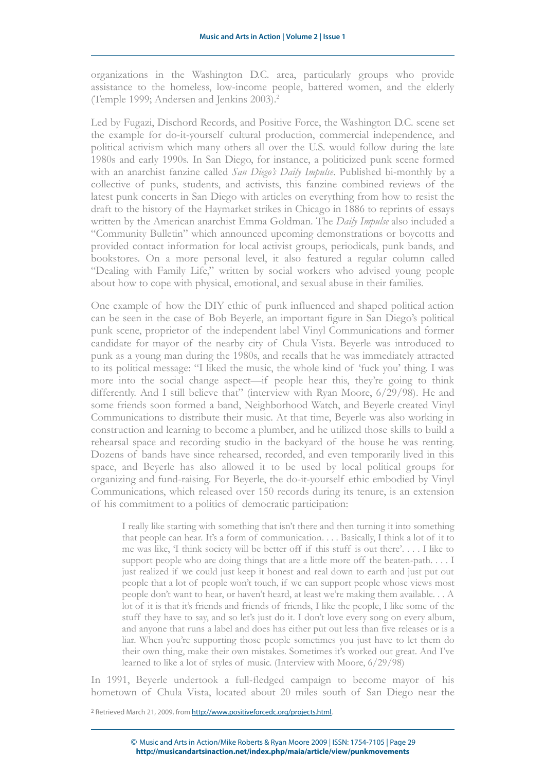organizations in the Washington D.C. area, particularly groups who provide assistance to the homeless, low-income people, battered women, and the elderly (Temple 1999; Andersen and Jenkins 2003).[2](#page-8-0)

Led by Fugazi, Dischord Records, and Positive Force, the Washington D.C. scene set the example for do-it-yourself cultural production, commercial independence, and political activism which many others all over the U.S. would follow during the late 1980s and early 1990s. In San Diego, for instance, a politicized punk scene formed with an anarchist fanzine called *San Diego's Daily Impulse*. Published bi-monthly by a collective of punks, students, and activists, this fanzine combined reviews of the latest punk concerts in San Diego with articles on everything from how to resist the draft to the history of the Haymarket strikes in Chicago in 1886 to reprints of essays written by the American anarchist Emma Goldman. The *Daily Impulse* also included a "Community Bulletin" which announced upcoming demonstrations or boycotts and provided contact information for local activist groups, periodicals, punk bands, and bookstores. On a more personal level, it also featured a regular column called "Dealing with Family Life," written by social workers who advised young people about how to cope with physical, emotional, and sexual abuse in their families.

One example of how the DIY ethic of punk influenced and shaped political action can be seen in the case of Bob Beyerle, an important figure in San Diego's political punk scene, proprietor of the independent label Vinyl Communications and former candidate for mayor of the nearby city of Chula Vista. Beyerle was introduced to punk as a young man during the 1980s, and recalls that he was immediately attracted to its political message: "I liked the music, the whole kind of 'fuck you' thing. I was more into the social change aspect—if people hear this, they're going to think differently. And I still believe that" (interview with Ryan Moore, 6/29/98). He and some friends soon formed a band, Neighborhood Watch, and Beyerle created Vinyl Communications to distribute their music. At that time, Beyerle was also working in construction and learning to become a plumber, and he utilized those skills to build a rehearsal space and recording studio in the backyard of the house he was renting. Dozens of bands have since rehearsed, recorded, and even temporarily lived in this space, and Beyerle has also allowed it to be used by local political groups for organizing and fund-raising. For Beyerle, the do-it-yourself ethic embodied by Vinyl Communications, which released over 150 records during its tenure, is an extension of his commitment to a politics of democratic participation:

I really like starting with something that isn't there and then turning it into something that people can hear. It's a form of communication. . . . Basically, I think a lot of it to me was like, 'I think society will be better off if this stuff is out there'. . . . I like to support people who are doing things that are a little more off the beaten-path. . . . I just realized if we could just keep it honest and real down to earth and just put out people that a lot of people won't touch, if we can support people whose views most people don't want to hear, or haven't heard, at least we're making them available. . . A lot of it is that it's friends and friends of friends, I like the people, I like some of the stuff they have to say, and so let's just do it. I don't love every song on every album, and anyone that runs a label and does has either put out less than five releases or is a liar. When you're supporting those people sometimes you just have to let them do their own thing, make their own mistakes. Sometimes it's worked out great. And I've learned to like a lot of styles of music. (Interview with Moore, 6/29/98)

In 1991, Beyerle undertook a full-fledged campaign to become mayor of his hometown of Chula Vista, located about 20 miles south of San Diego near the

<span id="page-8-0"></span>2 Retrieved March 21, 2009, from [http://www.positiveforcedc.org/projects.html.](http://www.positiveforcedc.org/projects.html)

© Music and Arts in Action/Mike Roberts & Ryan Moore 2009 | ISSN: 1754-7105 | Page 29 **http://musicandartsinaction.net/index.php/maia/article/view/punkmovements**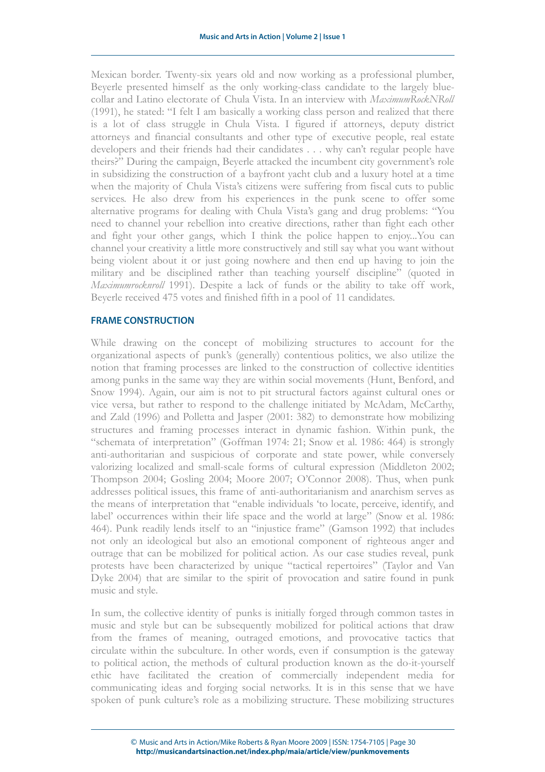Mexican border. Twenty-six years old and now working as a professional plumber, Beyerle presented himself as the only working-class candidate to the largely bluecollar and Latino electorate of Chula Vista. In an interview with *MaximumRockNRoll* (1991), he stated: "I felt I am basically a working class person and realized that there is a lot of class struggle in Chula Vista. I figured if attorneys, deputy district attorneys and financial consultants and other type of executive people, real estate developers and their friends had their candidates . . . why can't regular people have theirs?" During the campaign, Beyerle attacked the incumbent city government's role in subsidizing the construction of a bayfront yacht club and a luxury hotel at a time when the majority of Chula Vista's citizens were suffering from fiscal cuts to public services. He also drew from his experiences in the punk scene to offer some alternative programs for dealing with Chula Vista's gang and drug problems: "You need to channel your rebellion into creative directions, rather than fight each other and fight your other gangs, which I think the police happen to enjoy...You can channel your creativity a little more constructively and still say what you want without being violent about it or just going nowhere and then end up having to join the military and be disciplined rather than teaching yourself discipline" (quoted in *Maximumrocknroll* 1991). Despite a lack of funds or the ability to take off work, Beyerle received 475 votes and finished fifth in a pool of 11 candidates.

# **FRAME CONSTRUCTION**

While drawing on the concept of mobilizing structures to account for the organizational aspects of punk's (generally) contentious politics, we also utilize the notion that framing processes are linked to the construction of collective identities among punks in the same way they are within social movements (Hunt, Benford, and Snow 1994). Again, our aim is not to pit structural factors against cultural ones or vice versa, but rather to respond to the challenge initiated by McAdam, McCarthy, and Zald (1996) and Polletta and Jasper (2001: 382) to demonstrate how mobilizing structures and framing processes interact in dynamic fashion. Within punk, the "schemata of interpretation" (Goffman 1974: 21; Snow et al. 1986: 464) is strongly anti-authoritarian and suspicious of corporate and state power, while conversely valorizing localized and small-scale forms of cultural expression (Middleton 2002; Thompson 2004; Gosling 2004; Moore 2007; O'Connor 2008). Thus, when punk addresses political issues, this frame of anti-authoritarianism and anarchism serves as the means of interpretation that "enable individuals 'to locate, perceive, identify, and label' occurrences within their life space and the world at large" (Snow et al. 1986: 464). Punk readily lends itself to an "injustice frame" (Gamson 1992) that includes not only an ideological but also an emotional component of righteous anger and outrage that can be mobilized for political action. As our case studies reveal, punk protests have been characterized by unique "tactical repertoires" (Taylor and Van Dyke 2004) that are similar to the spirit of provocation and satire found in punk music and style.

In sum, the collective identity of punks is initially forged through common tastes in music and style but can be subsequently mobilized for political actions that draw from the frames of meaning, outraged emotions, and provocative tactics that circulate within the subculture. In other words, even if consumption is the gateway to political action, the methods of cultural production known as the do-it-yourself ethic have facilitated the creation of commercially independent media for communicating ideas and forging social networks. It is in this sense that we have spoken of punk culture's role as a mobilizing structure. These mobilizing structures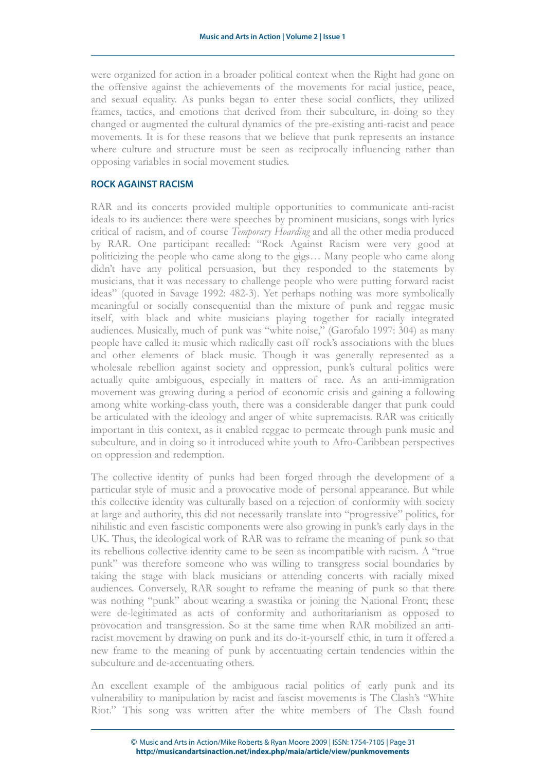were organized for action in a broader political context when the Right had gone on the offensive against the achievements of the movements for racial justice, peace, and sexual equality. As punks began to enter these social conflicts, they utilized frames, tactics, and emotions that derived from their subculture, in doing so they changed or augmented the cultural dynamics of the pre-existing anti-racist and peace movements. It is for these reasons that we believe that punk represents an instance where culture and structure must be seen as reciprocally influencing rather than opposing variables in social movement studies.

## **ROCK AGAINST RACISM**

RAR and its concerts provided multiple opportunities to communicate anti-racist ideals to its audience: there were speeches by prominent musicians, songs with lyrics critical of racism, and of course *Temporary Hoarding* and all the other media produced by RAR. One participant recalled: "Rock Against Racism were very good at politicizing the people who came along to the gigs… Many people who came along didn't have any political persuasion, but they responded to the statements by musicians, that it was necessary to challenge people who were putting forward racist ideas" (quoted in Savage 1992: 482-3). Yet perhaps nothing was more symbolically meaningful or socially consequential than the mixture of punk and reggae music itself, with black and white musicians playing together for racially integrated audiences. Musically, much of punk was "white noise," (Garofalo 1997: 304) as many people have called it: music which radically cast off rock's associations with the blues and other elements of black music. Though it was generally represented as a wholesale rebellion against society and oppression, punk's cultural politics were actually quite ambiguous, especially in matters of race. As an anti-immigration movement was growing during a period of economic crisis and gaining a following among white working-class youth, there was a considerable danger that punk could be articulated with the ideology and anger of white supremacists. RAR was critically important in this context, as it enabled reggae to permeate through punk music and subculture, and in doing so it introduced white youth to Afro-Caribbean perspectives on oppression and redemption.

The collective identity of punks had been forged through the development of a particular style of music and a provocative mode of personal appearance. But while this collective identity was culturally based on a rejection of conformity with society at large and authority, this did not necessarily translate into "progressive" politics, for nihilistic and even fascistic components were also growing in punk's early days in the UK. Thus, the ideological work of RAR was to reframe the meaning of punk so that its rebellious collective identity came to be seen as incompatible with racism. A "true punk" was therefore someone who was willing to transgress social boundaries by taking the stage with black musicians or attending concerts with racially mixed audiences. Conversely, RAR sought to reframe the meaning of punk so that there was nothing "punk" about wearing a swastika or joining the National Front; these were de-legitimated as acts of conformity and authoritarianism as opposed to provocation and transgression. So at the same time when RAR mobilized an antiracist movement by drawing on punk and its do-it-yourself ethic, in turn it offered a new frame to the meaning of punk by accentuating certain tendencies within the subculture and de-accentuating others.

An excellent example of the ambiguous racial politics of early punk and its vulnerability to manipulation by racist and fascist movements is The Clash's "White Riot." This song was written after the white members of The Clash found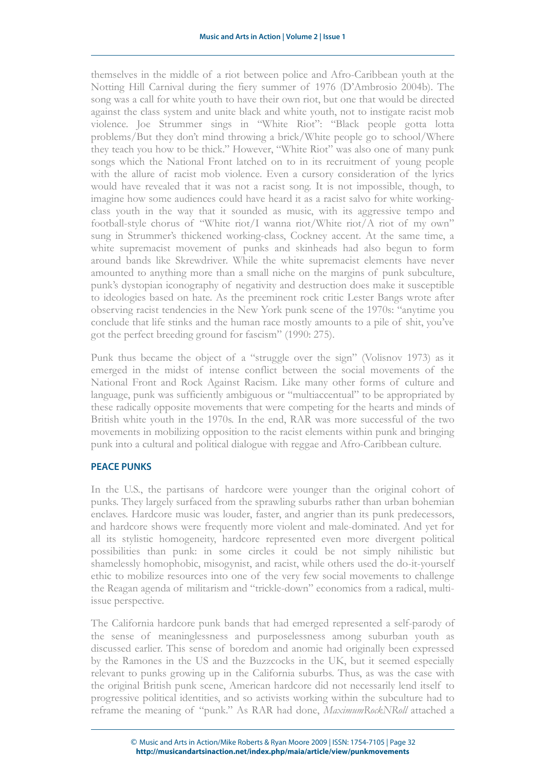themselves in the middle of a riot between police and Afro-Caribbean youth at the Notting Hill Carnival during the fiery summer of 1976 (D'Ambrosio 2004b). The song was a call for white youth to have their own riot, but one that would be directed against the class system and unite black and white youth, not to instigate racist mob violence. Joe Strummer sings in "White Riot": "Black people gotta lotta problems/But they don't mind throwing a brick/White people go to school/Where they teach you how to be thick." However, "White Riot" was also one of many punk songs which the National Front latched on to in its recruitment of young people with the allure of racist mob violence. Even a cursory consideration of the lyrics would have revealed that it was not a racist song. It is not impossible, though, to imagine how some audiences could have heard it as a racist salvo for white workingclass youth in the way that it sounded as music, with its aggressive tempo and football-style chorus of "White riot/I wanna riot/White riot/A riot of my own" sung in Strummer's thickened working-class, Cockney accent. At the same time, a white supremacist movement of punks and skinheads had also begun to form around bands like Skrewdriver. While the white supremacist elements have never amounted to anything more than a small niche on the margins of punk subculture, punk's dystopian iconography of negativity and destruction does make it susceptible to ideologies based on hate. As the preeminent rock critic Lester Bangs wrote after observing racist tendencies in the New York punk scene of the 1970s: "anytime you conclude that life stinks and the human race mostly amounts to a pile of shit, you've got the perfect breeding ground for fascism" (1990: 275).

Punk thus became the object of a "struggle over the sign" (Volisnov 1973) as it emerged in the midst of intense conflict between the social movements of the National Front and Rock Against Racism. Like many other forms of culture and language, punk was sufficiently ambiguous or "multiaccentual" to be appropriated by these radically opposite movements that were competing for the hearts and minds of British white youth in the 1970s. In the end, RAR was more successful of the two movements in mobilizing opposition to the racist elements within punk and bringing punk into a cultural and political dialogue with reggae and Afro-Caribbean culture.

## **PEACE PUNKS**

In the U.S., the partisans of hardcore were younger than the original cohort of punks. They largely surfaced from the sprawling suburbs rather than urban bohemian enclaves. Hardcore music was louder, faster, and angrier than its punk predecessors, and hardcore shows were frequently more violent and male-dominated. And yet for all its stylistic homogeneity, hardcore represented even more divergent political possibilities than punk: in some circles it could be not simply nihilistic but shamelessly homophobic, misogynist, and racist, while others used the do-it-yourself ethic to mobilize resources into one of the very few social movements to challenge the Reagan agenda of militarism and "trickle-down" economics from a radical, multiissue perspective.

The California hardcore punk bands that had emerged represented a self-parody of the sense of meaninglessness and purposelessness among suburban youth as discussed earlier. This sense of boredom and anomie had originally been expressed by the Ramones in the US and the Buzzcocks in the UK, but it seemed especially relevant to punks growing up in the California suburbs. Thus, as was the case with the original British punk scene, American hardcore did not necessarily lend itself to progressive political identities, and so activists working within the subculture had to reframe the meaning of "punk." As RAR had done, *MaximumRockNRoll* attached a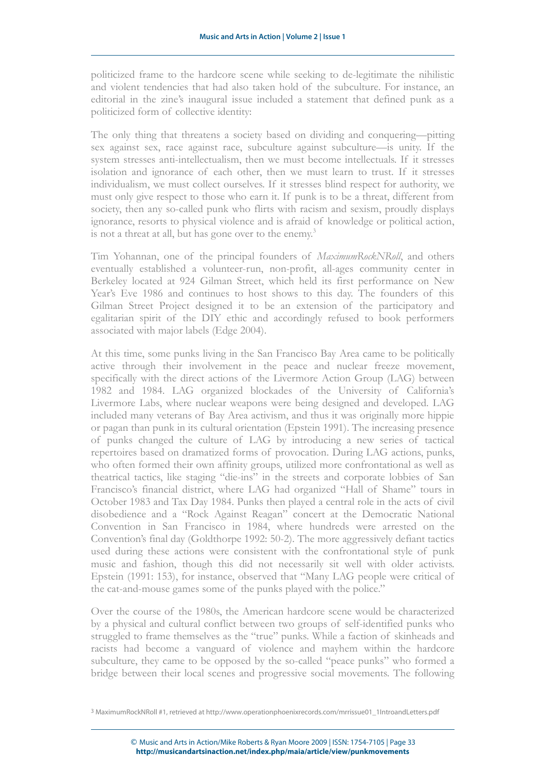politicized frame to the hardcore scene while seeking to de-legitimate the nihilistic and violent tendencies that had also taken hold of the subculture. For instance, an editorial in the zine's inaugural issue included a statement that defined punk as a politicized form of collective identity:

The only thing that threatens a society based on dividing and conquering—pitting sex against sex, race against race, subculture against subculture—is unity. If the system stresses anti-intellectualism, then we must become intellectuals. If it stresses isolation and ignorance of each other, then we must learn to trust. If it stresses individualism, we must collect ourselves. If it stresses blind respect for authority, we must only give respect to those who earn it. If punk is to be a threat, different from society, then any so-called punk who flirts with racism and sexism, proudly displays ignorance, resorts to physical violence and is afraid of knowledge or political action, is not a threat at all, but has gone over to the enemy.<sup>[3](#page-12-0)</sup>

Tim Yohannan, one of the principal founders of *MaximumRockNRoll*, and others eventually established a volunteer-run, non-profit, all-ages community center in Berkeley located at 924 Gilman Street, which held its first performance on New Year's Eve 1986 and continues to host shows to this day. The founders of this Gilman Street Project designed it to be an extension of the participatory and egalitarian spirit of the DIY ethic and accordingly refused to book performers associated with major labels (Edge 2004).

At this time, some punks living in the San Francisco Bay Area came to be politically active through their involvement in the peace and nuclear freeze movement, specifically with the direct actions of the Livermore Action Group (LAG) between 1982 and 1984. LAG organized blockades of the University of California's Livermore Labs, where nuclear weapons were being designed and developed. LAG included many veterans of Bay Area activism, and thus it was originally more hippie or pagan than punk in its cultural orientation (Epstein 1991). The increasing presence of punks changed the culture of LAG by introducing a new series of tactical repertoires based on dramatized forms of provocation. During LAG actions, punks, who often formed their own affinity groups, utilized more confrontational as well as theatrical tactics, like staging "die-ins" in the streets and corporate lobbies of San Francisco's financial district, where LAG had organized "Hall of Shame" tours in October 1983 and Tax Day 1984. Punks then played a central role in the acts of civil disobedience and a "Rock Against Reagan" concert at the Democratic National Convention in San Francisco in 1984, where hundreds were arrested on the Convention's final day (Goldthorpe 1992: 50-2). The more aggressively defiant tactics used during these actions were consistent with the confrontational style of punk music and fashion, though this did not necessarily sit well with older activists. Epstein (1991: 153), for instance, observed that "Many LAG people were critical of the cat-and-mouse games some of the punks played with the police."

Over the course of the 1980s, the American hardcore scene would be characterized by a physical and cultural conflict between two groups of self-identified punks who struggled to frame themselves as the "true" punks. While a faction of skinheads and racists had become a vanguard of violence and mayhem within the hardcore subculture, they came to be opposed by the so-called "peace punks" who formed a bridge between their local scenes and progressive social movements. The following

<span id="page-12-0"></span><sup>3</sup> MaximumRockNRoll #1, retrieved at http://www.operationphoenixrecords.com/mrrissue01\_1IntroandLetters.pdf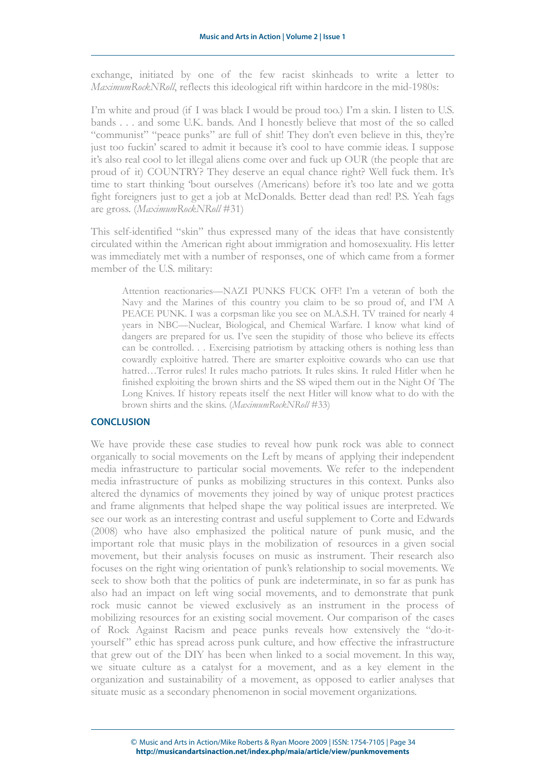exchange, initiated by one of the few racist skinheads to write a letter to *MaximumRockNRoll*, reflects this ideological rift within hardcore in the mid-1980s:

I'm white and proud (if I was black I would be proud too.) I'm a skin. I listen to U.S. bands . . . and some U.K. bands. And I honestly believe that most of the so called "communist" "peace punks" are full of shit! They don't even believe in this, they're just too fuckin' scared to admit it because it's cool to have commie ideas. I suppose it's also real cool to let illegal aliens come over and fuck up OUR (the people that are proud of it) COUNTRY? They deserve an equal chance right? Well fuck them. It's time to start thinking 'bout ourselves (Americans) before it's too late and we gotta fight foreigners just to get a job at McDonalds. Better dead than red! P.S. Yeah fags are gross. (*MaximumRockNRoll* #31)

This self-identified "skin" thus expressed many of the ideas that have consistently circulated within the American right about immigration and homosexuality. His letter was immediately met with a number of responses, one of which came from a former member of the U.S. military:

Attention reactionaries—NAZI PUNKS FUCK OFF! I'm a veteran of both the Navy and the Marines of this country you claim to be so proud of, and I'M A PEACE PUNK. I was a corpsman like you see on M.A.S.H. TV trained for nearly 4 years in NBC—Nuclear, Biological, and Chemical Warfare. I know what kind of dangers are prepared for us. I've seen the stupidity of those who believe its effects can be controlled. . . Exercising patriotism by attacking others is nothing less than cowardly exploitive hatred. There are smarter exploitive cowards who can use that hatred…Terror rules! It rules macho patriots. It rules skins. It ruled Hitler when he finished exploiting the brown shirts and the SS wiped them out in the Night Of The Long Knives. If history repeats itself the next Hitler will know what to do with the brown shirts and the skins. (*MaximumRockNRoll* #33)

#### **CONCLUSION**

We have provide these case studies to reveal how punk rock was able to connect organically to social movements on the Left by means of applying their independent media infrastructure to particular social movements. We refer to the independent media infrastructure of punks as mobilizing structures in this context. Punks also altered the dynamics of movements they joined by way of unique protest practices and frame alignments that helped shape the way political issues are interpreted. We see our work as an interesting contrast and useful supplement to Corte and Edwards (2008) who have also emphasized the political nature of punk music, and the important role that music plays in the mobilization of resources in a given social movement, but their analysis focuses on music as instrument. Their research also focuses on the right wing orientation of punk's relationship to social movements. We seek to show both that the politics of punk are indeterminate, in so far as punk has also had an impact on left wing social movements, and to demonstrate that punk rock music cannot be viewed exclusively as an instrument in the process of mobilizing resources for an existing social movement. Our comparison of the cases of Rock Against Racism and peace punks reveals how extensively the "do-ityourself" ethic has spread across punk culture, and how effective the infrastructure that grew out of the DIY has been when linked to a social movement. In this way, we situate culture as a catalyst for a movement, and as a key element in the organization and sustainability of a movement, as opposed to earlier analyses that situate music as a secondary phenomenon in social movement organizations.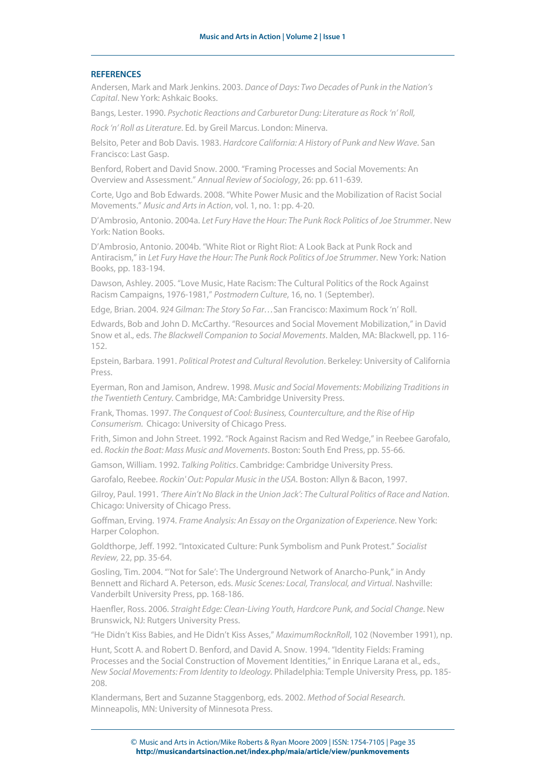#### **REFERENCES**

Andersen, Mark and Mark Jenkins. 2003. Dance of Days: Two Decades of Punk in the Nation's Capital. New York: Ashkaic Books.

Bangs, Lester. 1990. Psychotic Reactions and Carburetor Dung: Literature as Rock 'n' Roll,

Rock 'n' Roll as Literature. Ed. by Greil Marcus. London: Minerva.

Belsito, Peter and Bob Davis. 1983. Hardcore California: A History of Punk and New Wave. San Francisco: Last Gasp.

Benford, Robert and David Snow. 2000. "Framing Processes and Social Movements: An Overview and Assessment." Annual Review of Sociology, 26: pp. 611-639.

Corte, Ugo and Bob Edwards. 2008. "White Power Music and the Mobilization of Racist Social Movements." Music and Arts in Action, vol. 1, no. 1: pp. 4-20.

D'Ambrosio, Antonio. 2004a. Let Fury Have the Hour: The Punk Rock Politics of Joe Strummer. New York: Nation Books.

D'Ambrosio, Antonio. 2004b. "White Riot or Right Riot: A Look Back at Punk Rock and Antiracism," in Let Fury Have the Hour: The Punk Rock Politics of Joe Strummer. New York: Nation Books, pp. 183-194.

Dawson, Ashley. 2005. "Love Music, Hate Racism: The Cultural Politics of the Rock Against Racism Campaigns, 1976-1981," Postmodern Culture, 16, no. 1 (September).

Edge, Brian. 2004. 924 Gilman: The Story So Far…San Francisco: Maximum Rock 'n' Roll.

Edwards, Bob and John D. McCarthy. "Resources and Social Movement Mobilization," in David Snow et al., eds. The Blackwell Companion to Social Movements. Malden, MA: Blackwell, pp. 116- 152.

Epstein, Barbara. 1991. Political Protest and Cultural Revolution. Berkeley: University of California Press.

Eyerman, Ron and Jamison, Andrew. 1998. Music and Social Movements: Mobilizing Traditions in the Twentieth Century. Cambridge, MA: Cambridge University Press.

Frank, Thomas. 1997. The Conquest of Cool: Business, Counterculture, and the Rise of Hip Consumerism. Chicago: University of Chicago Press.

Frith, Simon and John Street. 1992. "Rock Against Racism and Red Wedge," in Reebee Garofalo, ed. Rockin the Boat: Mass Music and Movements. Boston: South End Press, pp. 55-66.

Gamson, William. 1992. Talking Politics. Cambridge: Cambridge University Press.

Garofalo, Reebee. Rockin' Out: Popular Music in the USA. Boston: Allyn & Bacon, 1997.

Gilroy, Paul. 1991. 'There Ain't No Black in the Union Jack': The Cultural Politics of Race and Nation. Chicago: University of Chicago Press.

Goffman, Erving. 1974. Frame Analysis: An Essay on the Organization of Experience. New York: Harper Colophon.

Goldthorpe, Jeff. 1992. "Intoxicated Culture: Punk Symbolism and Punk Protest." Socialist Review, 22, pp. 35-64.

Gosling, Tim. 2004. "'Not for Sale': The Underground Network of Anarcho-Punk," in Andy Bennett and Richard A. Peterson, eds. Music Scenes: Local, Translocal, and Virtual. Nashville: Vanderbilt University Press, pp. 168-186.

Haenfler, Ross. 2006. Straight Edge: Clean-Living Youth, Hardcore Punk, and Social Change. New Brunswick, NJ: Rutgers University Press.

"He Didn't Kiss Babies, and He Didn't Kiss Asses," MaximumRocknRoll, 102 (November 1991), np.

Hunt, Scott A. and Robert D. Benford, and David A. Snow. 1994. "Identity Fields: Framing Processes and the Social Construction of Movement Identities," in Enrique Larana et al., eds., New Social Movements: From Identity to Ideology. Philadelphia: Temple University Press, pp. 185- 208.

Klandermans, Bert and Suzanne Staggenborg, eds. 2002. Method of Social Research. Minneapolis, MN: University of Minnesota Press.